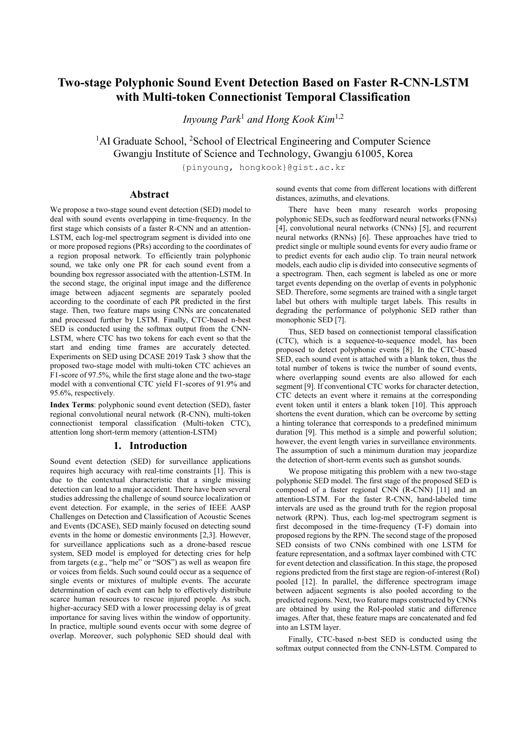# **Two-stage Polyphonic Sound Event Detection Based on Faster R-CNN-LSTM with Multi-token Connectionist Temporal Classification**

*Inyoung Park*<sup>1</sup> *and Hong Kook Kim*1,2

<sup>1</sup>AI Graduate School, <sup>2</sup>School of Electrical Engineering and Computer Science Gwangju Institute of Science and Technology, Gwangju 61005, Korea

{pinyoung, hongkook}@gist.ac.kr

# **Abstract**

We propose a two-stage sound event detection (SED) model to deal with sound events overlapping in time-frequency. In the first stage which consists of a faster R-CNN and an attention-LSTM, each log-mel spectrogram segment is divided into one or more proposed regions (PRs) according to the coordinates of a region proposal network. To efficiently train polyphonic sound, we take only one PR for each sound event from a bounding box regressor associated with the attention-LSTM. In the second stage, the original input image and the difference image between adjacent segments are separately pooled according to the coordinate of each PR predicted in the first stage. Then, two feature maps using CNNs are concatenated and processed further by LSTM. Finally, CTC-based n-best SED is conducted using the softmax output from the CNN-LSTM, where CTC has two tokens for each event so that the start and ending time frames are accurately detected. Experiments on SED using DCASE 2019 Task 3 show that the proposed two-stage model with multi-token CTC achieves an F1-score of 97.5%, while the first stage alone and the two-stage model with a conventional CTC yield F1-scores of 91.9% and 95.6%, respectively.

**Index Terms**: polyphonic sound event detection (SED), faster regional convolutional neural network (R-CNN), multi-token connectionist temporal classification (Multi-token CTC), attention long short-term memory (attention-LSTM)

# **1. Introduction**

Sound event detection (SED) for surveillance applications requires high accuracy with real-time constraints [1]. This is due to the contextual characteristic that a single missing detection can lead to a major accident. There have been several studies addressing the challenge of sound source localization or event detection. For example, in the series of IEEE AASP Challenges on Detection and Classification of Acoustic Scenes and Events (DCASE), SED mainly focused on detecting sound events in the home or domestic environments [2,3]. However, for surveillance applications such as a drone-based rescue system, SED model is employed for detecting cries for help from targets (e.g., "help me" or "SOS") as well as weapon fire or voices from fields. Such sound could occur as a sequence of single events or mixtures of multiple events. The accurate determination of each event can help to effectively distribute scarce human resources to rescue injured people. As such, higher-accuracy SED with a lower processing delay is of great importance for saving lives within the window of opportunity. In practice, multiple sound events occur with some degree of overlap. Moreover, such polyphonic SED should deal with

sound events that come from different locations with different distances, azimuths, and elevations.

There have been many research works proposing polyphonic SEDs, such as feedforward neural networks (FNNs) [4], convolutional neural networks (CNNs) [5], and recurrent neural networks (RNNs) [6]. These approaches have tried to predict single or multiple sound events for every audio frame or to predict events for each audio clip. To train neural network models, each audio clip is divided into consecutive segments of a spectrogram. Then, each segment is labeled as one or more target events depending on the overlap of events in polyphonic SED. Therefore, some segments are trained with a single target label but others with multiple target labels. This results in degrading the performance of polyphonic SED rather than monophonic SED [7].

Thus, SED based on connectionist temporal classification (CTC), which is a sequence-to-sequence model, has been proposed to detect polyphonic events [8]. In the CTC-based SED, each sound event is attached with a blank token, thus the total number of tokens is twice the number of sound events, where overlapping sound events are also allowed for each segment [9]. If conventional CTC works for character detection, CTC detects an event where it remains at the corresponding event token until it enters a blank token [10]. This approach shortens the event duration, which can be overcome by setting a hinting tolerance that corresponds to a predefined minimum duration [9]. This method is a simple and powerful solution; however, the event length varies in surveillance environments. The assumption of such a minimum duration may jeopardize the detection of short-term events such as gunshot sounds.

We propose mitigating this problem with a new two-stage polyphonic SED model. The first stage of the proposed SED is composed of a faster regional CNN (R-CNN) [11] and an attention-LSTM. For the faster R-CNN, hand-labeled time intervals are used as the ground truth for the region proposal network (RPN). Thus, each log-mel spectrogram segment is first decomposed in the time-frequency (T-F) domain into proposed regions by the RPN. The second stage of the proposed SED consists of two CNNs combined with one LSTM for feature representation, and a softmax layer combined with CTC for event detection and classification. In this stage, the proposed regions predicted from the first stage are region-of-interest (RoI) pooled [12]. In parallel, the difference spectrogram image between adjacent segments is also pooled according to the predicted regions. Next, two feature maps constructed by CNNs are obtained by using the RoI-pooled static and difference images. After that, these feature maps are concatenated and fed into an LSTM layer.

Finally, CTC-based n-best SED is conducted using the softmax output connected from the CNN-LSTM. Compared to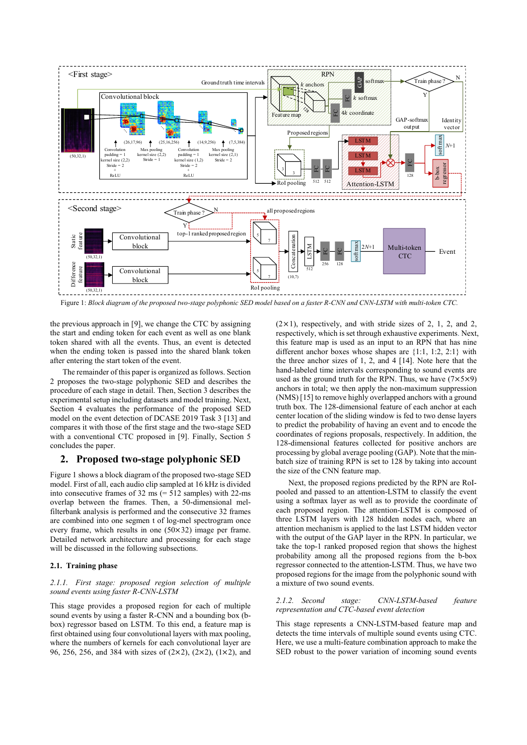

Figure 1: *Block diagram of the proposed two-stage polyphonic SED model based on a faster R-CNN and CNN-LSTM with multi-token CTC.*

the previous approach in [9], we change the CTC by assigning the start and ending token for each event as well as one blank token shared with all the events. Thus, an event is detected when the ending token is passed into the shared blank token after entering the start token of the event.

The remainder of this paper is organized as follows. Section 2 proposes the two-stage polyphonic SED and describes the procedure of each stage in detail. Then, Section 3 describes the experimental setup including datasets and model training. Next, Section 4 evaluates the performance of the proposed SED model on the event detection of DCASE 2019 Task 3 [13] and compares it with those of the first stage and the two-stage SED with a conventional CTC proposed in [9]. Finally, Section 5 concludes the paper.

## **2. Proposed two-stage polyphonic SED**

Figure 1 shows a block diagram of the proposed two-stage SED model. First of all, each audio clip sampled at 16 kHz is divided into consecutive frames of  $32 \text{ ms}$  (=  $512 \text{ samples}$ ) with  $22 \text{ -ms}$ overlap between the frames. Then, a 50-dimensional melfilterbank analysis is performed and the consecutive 32 frames are combined into one segmen t of log-mel spectrogram once every frame, which results in one (50×32) image per frame. Detailed network architecture and processing for each stage will be discussed in the following subsections.

## **2.1. Training phase**

#### *2.1.1. First stage: proposed region selection of multiple sound events using faster R-CNN-LSTM*

This stage provides a proposed region for each of multiple sound events by using a faster R-CNN and a bounding box (bbox) regressor based on LSTM. To this end, a feature map is first obtained using four convolutional layers with max pooling, where the numbers of kernels for each convolutional layer are 96, 256, 256, and 384 with sizes of (2×2), (2×2), (1×2), and  $(2 \times 1)$ , respectively, and with stride sizes of 2, 1, 2, and 2, respectively, which is set through exhaustive experiments. Next, this feature map is used as an input to an RPN that has nine different anchor boxes whose shapes are {1:1, 1:2, 2:1} with the three anchor sizes of 1, 2, and 4 [14]. Note here that the hand-labeled time intervals corresponding to sound events are used as the ground truth for the RPN. Thus, we have  $(7 \times 5 \times 9)$ anchors in total; we then apply the non-maximum suppression (NMS) [15] to remove highly overlapped anchors with a ground truth box. The 128-dimensional feature of each anchor at each center location of the sliding window is fed to two dense layers to predict the probability of having an event and to encode the coordinates of regions proposals, respectively. In addition, the 128-dimensional features collected for positive anchors are processing by global average pooling (GAP). Note that the minbatch size of training RPN is set to 128 by taking into account the size of the CNN feature map.

Next, the proposed regions predicted by the RPN are RoIpooled and passed to an attention-LSTM to classify the event using a softmax layer as well as to provide the coordinate of each proposed region. The attention-LSTM is composed of three LSTM layers with 128 hidden nodes each, where an attention mechanism is applied to the last LSTM hidden vector with the output of the GAP layer in the RPN. In particular, we take the top-1 ranked proposed region that shows the highest probability among all the proposed regions from the b-box regressor connected to the attention-LSTM. Thus, we have two proposed regions for the image from the polyphonic sound with a mixture of two sound events.

#### *2.1.2. Second stage: CNN-LSTM-based feature representation and CTC-based event detection*

This stage represents a CNN-LSTM-based feature map and detects the time intervals of multiple sound events using CTC. Here, we use a multi-feature combination approach to make the SED robust to the power variation of incoming sound events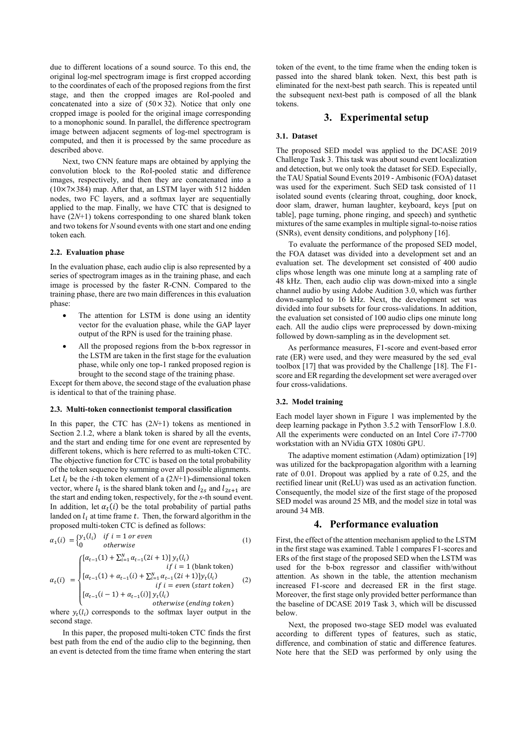due to different locations of a sound source. To this end, the original log-mel spectrogram image is first cropped according to the coordinates of each of the proposed regions from the first stage, and then the cropped images are RoI-pooled and concatenated into a size of  $(50 \times 32)$ . Notice that only one cropped image is pooled for the original image corresponding to a monophonic sound. In parallel, the difference spectrogram image between adjacent segments of log-mel spectrogram is computed, and then it is processed by the same procedure as described above.

Next, two CNN feature maps are obtained by applying the convolution block to the RoI-pooled static and difference images, respectively, and then they are concatenated into a (10×7×384) map. After that, an LSTM layer with 512 hidden nodes, two FC layers, and a softmax layer are sequentially applied to the map. Finally, we have CTC that is designed to have (2*N*+1) tokens corresponding to one shared blank token and two tokens for *N* sound events with one start and one ending token each*.*

#### **2.2. Evaluation phase**

In the evaluation phase, each audio clip is also represented by a series of spectrogram images as in the training phase, and each image is processed by the faster R-CNN. Compared to the training phase, there are two main differences in this evaluation phase:

- The attention for LSTM is done using an identity vector for the evaluation phase, while the GAP layer output of the RPN is used for the training phase.
- All the proposed regions from the b-box regressor in the LSTM are taken in the first stage for the evaluation phase, while only one top-1 ranked proposed region is brought to the second stage of the training phase.

Except for them above, the second stage of the evaluation phase is identical to that of the training phase.

#### **2.3. Multi-token connectionist temporal classification**

In this paper, the CTC has (2*N*+1) tokens as mentioned in Section 2.1.2, where a blank token is shared by all the events, and the start and ending time for one event are represented by different tokens, which is here referred to as multi-token CTC. The objective function for CTC is based on the total probability of the token sequence by summing over all possible alignments. Let  $l_i$  be the *i*-th token element of a  $(2N+1)$ -dimensional token vector, where  $l_1$  is the shared blank token and  $l_{2s}$  and  $l_{2s+1}$  are the start and ending token, respectively, for the *s*-th sound event. In addition, let  $\alpha_t(i)$  be the total probability of partial paths landed on  $l_i$  at time frame t. Then, the forward algorithm in the proposed multi-token CTC is defined as follows:

$$
\alpha_1(i) = \begin{cases} y_1(l_i) & \text{if } i = 1 \text{ or even} \\ 0 & \text{otherwise} \end{cases}
$$
 (1)

$$
\alpha_{t}(i) = \begin{cases}\n[\alpha_{t-1}(1) + \sum_{i=1}^{N} \alpha_{t-1}(2i+1)] y_{t}(l_{i}) & \text{if } i = 1 \text{ (blank token)} \\
[\alpha_{t-1}(1) + \alpha_{t-1}(i) + \sum_{i=1}^{N} \alpha_{t-1}(2i+1)] y_{t}(l_{i}) & \text{if } i = even \text{ (start token)} \\
[\alpha_{t-1}(i-1) + \alpha_{t-1}(i)] y_{t}(l_{i}) & \text{otherwise (ending token)}\n\end{cases} \tag{2}
$$

where  $y_t(l_i)$  corresponds to the softmax layer output in the second stage.

In this paper, the proposed multi-token CTC finds the first best path from the end of the audio clip to the beginning, then an event is detected from the time frame when entering the start

token of the event, to the time frame when the ending token is passed into the shared blank token. Next, this best path is eliminated for the next-best path search. This is repeated until the subsequent next-best path is composed of all the blank tokens.

# **3. Experimental setup**

#### **3.1. Dataset**

The proposed SED model was applied to the DCASE 2019 Challenge Task 3. This task was about sound event localization and detection, but we only took the dataset for SED. Especially, the TAU Spatial Sound Events 2019 - Ambisonic (FOA) dataset was used for the experiment. Such SED task consisted of 11 isolated sound events (clearing throat, coughing, door knock, door slam, drawer, human laughter, keyboard, keys [put on table], page turning, phone ringing, and speech) and synthetic mixtures of the same examples in multiple signal-to-noise ratios (SNRs), event density conditions, and polyphony [16].

To evaluate the performance of the proposed SED model, the FOA dataset was divided into a development set and an evaluation set. The development set consisted of 400 audio clips whose length was one minute long at a sampling rate of 48 kHz. Then, each audio clip was down-mixed into a single channel audio by using Adobe Audition 3.0, which was further down-sampled to 16 kHz. Next, the development set was divided into four subsets for four cross-validations. In addition, the evaluation set consisted of 100 audio clips one minute long each. All the audio clips were preprocessed by down-mixing followed by down-sampling as in the development set.

As performance measures, F1-score and event-based error rate (ER) were used, and they were measured by the sed\_eval toolbox [17] that was provided by the Challenge [18]. The F1 score and ER regarding the development set were averaged over four cross-validations.

### **3.2. Model training**

Each model layer shown in Figure 1 was implemented by the deep learning package in Python 3.5.2 with TensorFlow 1.8.0. All the experiments were conducted on an Intel Core i7-7700 workstation with an NVidia GTX 1080ti GPU.

The adaptive moment estimation (Adam) optimization [19] was utilized for the backpropagation algorithm with a learning rate of 0.01. Dropout was applied by a rate of 0.25, and the rectified linear unit (ReLU) was used as an activation function. Consequently, the model size of the first stage of the proposed SED model was around 25 MB, and the model size in total was around 34 MB.

## **4. Performance evaluation**

First, the effect of the attention mechanism applied to the LSTM in the first stage was examined. Table 1 compares F1-scores and ERs of the first stage of the proposed SED when the LSTM was used for the b-box regressor and classifier with/without attention. As shown in the table, the attention mechanism increased F1-score and decreased ER in the first stage. Moreover, the first stage only provided better performance than the baseline of DCASE 2019 Task 3, which will be discussed below.

Next, the proposed two-stage SED model was evaluated according to different types of features, such as static, difference, and combination of static and difference features. Note here that the SED was performed by only using the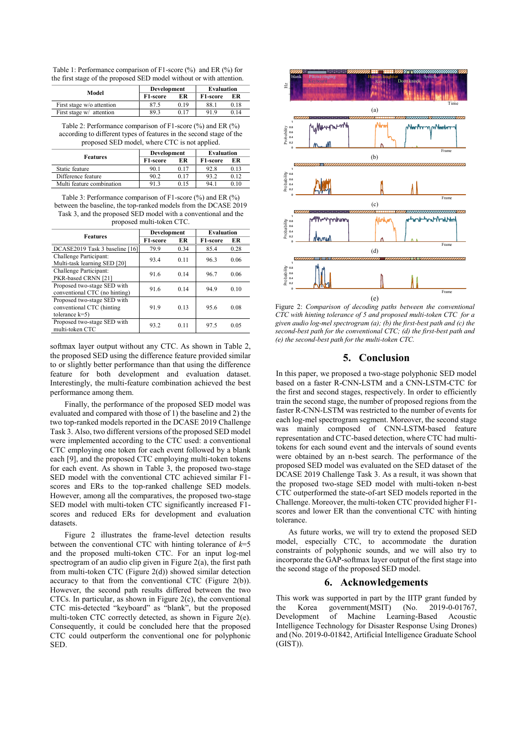Table 1: Performance comparison of F1-score (%) and ER (%) for the first stage of the proposed SED model without or with attention.

| Model                     | Development |      | Evaluation |      |
|---------------------------|-------------|------|------------|------|
|                           | F1-score    | ER   | F1-score   | ЕR   |
| First stage w/o attention |             | 0.19 | 88.1       | 0.18 |
| First stage w/ attention  | 89.3        | 017  | 919        | 0 14 |

Table 2: Performance comparison of F1-score (%) and ER (%) according to different types of features in the second stage of the proposed SED model, where CTC is not applied.

| <b>Features</b>           | Development |      | Evaluation            |      |
|---------------------------|-------------|------|-----------------------|------|
|                           | F1-score    | ER   | F <sub>1</sub> -score | ЕR   |
| Static feature            | 90.1        | 0.17 | 92.8                  | 0.13 |
| Difference feature        | 90.2        | 0.17 | 93.2                  | 0.12 |
| Multi feature combination | 913         | 0.15 | 94.1                  | 0.10 |

Table 3: Performance comparison of F1-score (%) and ER (%) between the baseline, the top-ranked models from the DCASE 2019 Task 3, and the proposed SED model with a conventional and the proposed multi-token CTC.

| <b>Features</b>                                                               | Development |      | <b>Evaluation</b> |      |
|-------------------------------------------------------------------------------|-------------|------|-------------------|------|
|                                                                               | F1-score    | ER   | F1-score          | ER   |
| DCASE2019 Task 3 baseline [16]                                                | 79.9        | 0.34 | 85.4              | 0.28 |
| Challenge Participant:<br>Multi-task learning SED [20]                        | 93.4        | 0.11 | 96.3              | 0.06 |
| Challenge Participant:<br>PKR-based CRNN [21]                                 | 91.6        | 0.14 | 96.7              | 0.06 |
| Proposed two-stage SED with<br>conventional CTC (no hinting)                  | 91.6        | 0.14 | 94.9              | 0.10 |
| Proposed two-stage SED with<br>conventional CTC (hinting<br>tolerance $k=5$ ) | 91.9        | 0.13 | 95.6              | 0.08 |
| Proposed two-stage SED with<br>multi-token CTC                                | 93.2        | 011  | 97.5              | 0.05 |

softmax layer output without any CTC. As shown in Table 2, the proposed SED using the difference feature provided similar to or slightly better performance than that using the difference feature for both development and evaluation dataset. Interestingly, the multi-feature combination achieved the best performance among them.

Finally, the performance of the proposed SED model was evaluated and compared with those of 1) the baseline and 2) the two top-ranked models reported in the DCASE 2019 Challenge Task 3. Also, two different versions of the proposed SED model were implemented according to the CTC used: a conventional CTC employing one token for each event followed by a blank each [9], and the proposed CTC employing multi-token tokens for each event. As shown in Table 3, the proposed two-stage SED model with the conventional CTC achieved similar F1 scores and ERs to the top-ranked challenge SED models. However, among all the comparatives, the proposed two-stage SED model with multi-token CTC significantly increased F1 scores and reduced ERs for development and evaluation datasets.

Figure 2 illustrates the frame-level detection results between the conventional CTC with hinting tolerance of *k*=5 and the proposed multi-token CTC. For an input log-mel spectrogram of an audio clip given in Figure 2(a), the first path from multi-token CTC (Figure 2(d)) showed similar detection accuracy to that from the conventional CTC (Figure 2(b)). However, the second path results differed between the two CTCs. In particular, as shown in Figure 2(c), the conventional CTC mis-detected "keyboard" as "blank", but the proposed multi-token CTC correctly detected, as shown in Figure 2(e). Consequently, it could be concluded here that the proposed CTC could outperform the conventional one for polyphonic SED.



Figure 2: *Comparison of decoding paths between the conventional CTC with hinting tolerance of 5 and proposed multi-token CTC for a given audio log-mel spectrogram (a); (b) the first-best path and (c) the second-best path for the conventional CTC; (d) the first-best path and (e) the second-best path for the multi-token CTC.*

# **5. Conclusion**

In this paper, we proposed a two-stage polyphonic SED model based on a faster R-CNN-LSTM and a CNN-LSTM-CTC for the first and second stages, respectively. In order to efficiently train the second stage, the number of proposed regions from the faster R-CNN-LSTM was restricted to the number of events for each log-mel spectrogram segment. Moreover, the second stage was mainly composed of CNN-LSTM-based feature representation and CTC-based detection, where CTC had multitokens for each sound event and the intervals of sound events were obtained by an n-best search. The performance of the proposed SED model was evaluated on the SED dataset of the DCASE 2019 Challenge Task 3. As a result, it was shown that the proposed two-stage SED model with multi-token n-best CTC outperformed the state-of-art SED models reported in the Challenge. Moreover, the multi-token CTC provided higher F1 scores and lower ER than the conventional CTC with hinting tolerance.

As future works, we will try to extend the proposed SED model, especially CTC, to accommodate the duration constraints of polyphonic sounds, and we will also try to incorporate the GAP-softmax layer output of the first stage into the second stage of the proposed SED model.

## **6. Acknowledgements**

This work was supported in part by the IITP grant funded by the Korea government(MSIT) (No. 2019-0-01767, Development of Machine Learning-Based Acoustic Intelligence Technology for Disaster Response Using Drones) and (No. 2019-0-01842, Artificial Intelligence Graduate School (GIST)).